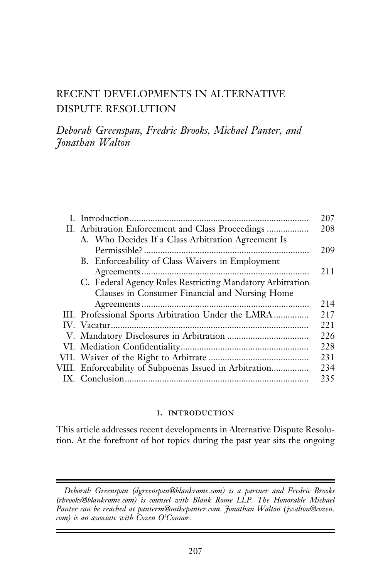# RECENT DEVELOPMENTS IN ALTERNATIVE DISPUTE RESOLUTION

Deborah Greenspan, Fredric Brooks, Michael Panter, and Jonathan Walton

| A. Who Decides If a Class Arbitration Agreement Is        |
|-----------------------------------------------------------|
|                                                           |
| B. Enforceability of Class Waivers in Employment          |
|                                                           |
| C. Federal Agency Rules Restricting Mandatory Arbitration |
| Clauses in Consumer Financial and Nursing Home            |
|                                                           |
| III. Professional Sports Arbitration Under the LMRA       |
|                                                           |
|                                                           |
|                                                           |
|                                                           |
| VIII. Enforceability of Subpoenas Issued in Arbitration   |
|                                                           |

#### i. introduction

This article addresses recent developments in Alternative Dispute Resolution. At the forefront of hot topics during the past year sits the ongoing

Deborah Greenspan (dgreenspan@blankrome.com) is a partner and Fredric Brooks (rbrooks@blankrome.com) is counsel with Blank Rome LLP. The Honorable Michael Panter can be reached at panterm@mikepanter.com. Jonathan Walton (jwalton@cozen. com) is an associate with Cozen O'Connor.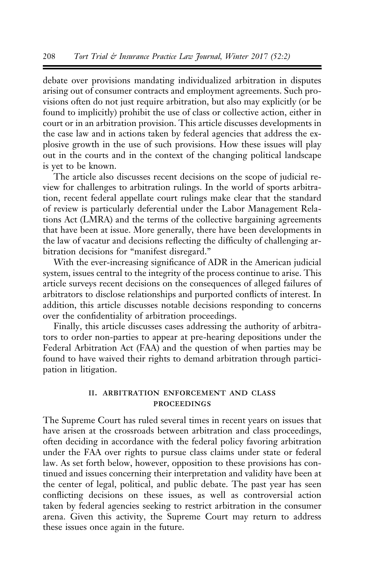debate over provisions mandating individualized arbitration in disputes arising out of consumer contracts and employment agreements. Such provisions often do not just require arbitration, but also may explicitly (or be found to implicitly) prohibit the use of class or collective action, either in court or in an arbitration provision. This article discusses developments in the case law and in actions taken by federal agencies that address the explosive growth in the use of such provisions. How these issues will play out in the courts and in the context of the changing political landscape is yet to be known.

The article also discusses recent decisions on the scope of judicial review for challenges to arbitration rulings. In the world of sports arbitration, recent federal appellate court rulings make clear that the standard of review is particularly deferential under the Labor Management Relations Act (LMRA) and the terms of the collective bargaining agreements that have been at issue. More generally, there have been developments in the law of vacatur and decisions reflecting the difficulty of challenging arbitration decisions for "manifest disregard."

With the ever-increasing significance of ADR in the American judicial system, issues central to the integrity of the process continue to arise. This article surveys recent decisions on the consequences of alleged failures of arbitrators to disclose relationships and purported conflicts of interest. In addition, this article discusses notable decisions responding to concerns over the confidentiality of arbitration proceedings.

Finally, this article discusses cases addressing the authority of arbitrators to order non-parties to appear at pre-hearing depositions under the Federal Arbitration Act (FAA) and the question of when parties may be found to have waived their rights to demand arbitration through participation in litigation.

#### ii. arbitration enforcement and class **PROCEEDINGS**

The Supreme Court has ruled several times in recent years on issues that have arisen at the crossroads between arbitration and class proceedings, often deciding in accordance with the federal policy favoring arbitration under the FAA over rights to pursue class claims under state or federal law. As set forth below, however, opposition to these provisions has continued and issues concerning their interpretation and validity have been at the center of legal, political, and public debate. The past year has seen conflicting decisions on these issues, as well as controversial action taken by federal agencies seeking to restrict arbitration in the consumer arena. Given this activity, the Supreme Court may return to address these issues once again in the future.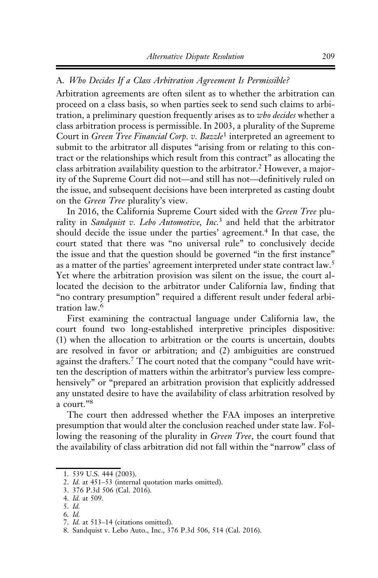## A. Who Decides If a Class Arbitration Agreement Is Permissible?

Arbitration agreements are often silent as to whether the arbitration can proceed on a class basis, so when parties seek to send such claims to arbitration, a preliminary question frequently arises as to who decides whether a class arbitration process is permissible. In 2003, a plurality of the Supreme Court in Green Tree Financial Corp. v. Bazzle<sup>1</sup> interpreted an agreement to submit to the arbitrator all disputes "arising from or relating to this contract or the relationships which result from this contract" as allocating the class arbitration availability question to the arbitrator.<sup>2</sup> However, a majority of the Supreme Court did not—and still has not—definitively ruled on the issue, and subsequent decisions have been interpreted as casting doubt on the Green Tree plurality's view.

In 2016, the California Supreme Court sided with the Green Tree plurality in Sandquist v. Lebo Automotive, Inc.<sup>3</sup> and held that the arbitrator should decide the issue under the parties' agreement.<sup>4</sup> In that case, the court stated that there was "no universal rule" to conclusively decide the issue and that the question should be governed "in the first instance" as a matter of the parties' agreement interpreted under state contract law.<sup>5</sup> Yet where the arbitration provision was silent on the issue, the court allocated the decision to the arbitrator under California law, finding that "no contrary presumption" required a different result under federal arbitration law.6

First examining the contractual language under California law, the court found two long-established interpretive principles dispositive: (1) when the allocation to arbitration or the courts is uncertain, doubts are resolved in favor or arbitration; and (2) ambiguities are construed against the drafters.<sup>7</sup> The court noted that the company "could have written the description of matters within the arbitrator's purview less comprehensively" or "prepared an arbitration provision that explicitly addressed any unstated desire to have the availability of class arbitration resolved by a court."<sup>8</sup>

The court then addressed whether the FAA imposes an interpretive presumption that would alter the conclusion reached under state law. Following the reasoning of the plurality in *Green Tree*, the court found that the availability of class arbitration did not fall within the "narrow" class of

<sup>1. 539</sup> U.S. 444 (2003).

<sup>2.</sup> Id. at 451–53 (internal quotation marks omitted).

<sup>3. 376</sup> P.3d 506 (Cal. 2016).

<sup>4.</sup> Id. at 509.

<sup>5.</sup> Id.

<sup>6.</sup> Id.

<sup>7.</sup> Id. at 513–14 (citations omitted).

<sup>8.</sup> Sandquist v. Lebo Auto., Inc., 376 P.3d 506, 514 (Cal. 2016).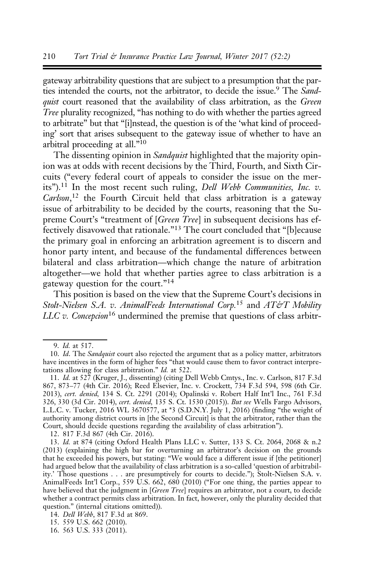gateway arbitrability questions that are subject to a presumption that the parties intended the courts, not the arbitrator, to decide the issue.<sup>9</sup> The Sandquist court reasoned that the availability of class arbitration, as the Green Tree plurality recognized, "has nothing to do with whether the parties agreed to arbitrate" but that "[i]nstead, the question is of the 'what kind of proceeding' sort that arises subsequent to the gateway issue of whether to have an arbitral proceeding at all."10

The dissenting opinion in *Sandquist* highlighted that the majority opinion was at odds with recent decisions by the Third, Fourth, and Sixth Circuits ("every federal court of appeals to consider the issue on the merits").<sup>11</sup> In the most recent such ruling, Dell Webb Communities, Inc. v. Carlson,<sup>12</sup> the Fourth Circuit held that class arbitration is a gateway issue of arbitrability to be decided by the courts, reasoning that the Supreme Court's "treatment of [Green Tree] in subsequent decisions has effectively disavowed that rationale."<sup>13</sup> The court concluded that "[b]ecause the primary goal in enforcing an arbitration agreement is to discern and honor party intent, and because of the fundamental differences between bilateral and class arbitration—which change the nature of arbitration altogether—we hold that whether parties agree to class arbitration is a gateway question for the court."<sup>14</sup>

This position is based on the view that the Supreme Court's decisions in Stolt-Nielsen S.A. v. AnimalFeeds International Corp.<sup>15</sup> and AT&T Mobility  $LLC$  v. Concepcion<sup>16</sup> undermined the premise that questions of class arbitr-

<sup>9.</sup> Id. at 517.

<sup>10.</sup> Id. The Sandquist court also rejected the argument that as a policy matter, arbitrators have incentives in the form of higher fees "that would cause them to favor contract interpretations allowing for class arbitration." Id. at 522.

<sup>11.</sup> Id. at 527 (Kruger, J., dissenting) (citing Dell Webb Cmtys., Inc. v. Carlson, 817 F.3d 867, 873–77 (4th Cir. 2016); Reed Elsevier, Inc. v. Crockett, 734 F.3d 594, 598 (6th Cir. 2013), cert. denied, 134 S. Ct. 2291 (2014); Opalinski v. Robert Half Int'l Inc., 761 F.3d 326, 330 (3d Cir. 2014), cert. denied, 135 S. Ct. 1530 (2015)). But see Wells Fargo Advisors, L.L.C. v. Tucker, 2016 WL 3670577, at \*3 (S.D.N.Y. July 1, 2016) (finding "the weight of authority among district courts in [the Second Circuit] is that the arbitrator, rather than the Court, should decide questions regarding the availability of class arbitration").

<sup>12. 817</sup> F.3d 867 (4th Cir. 2016).

<sup>13.</sup> Id. at 874 (citing Oxford Health Plans LLC v. Sutter, 133 S. Ct. 2064, 2068 & n.2 (2013) (explaining the high bar for overturning an arbitrator's decision on the grounds that he exceeded his powers, but stating: "We would face a different issue if [the petitioner] had argued below that the availability of class arbitration is a so-called 'question of arbitrability.' Those questions . . . are presumptively for courts to decide."); Stolt-Nielsen S.A. v. AnimalFeeds Int'l Corp., 559 U.S. 662, 680 (2010) ("For one thing, the parties appear to have believed that the judgment in [Green Tree] requires an arbitrator, not a court, to decide whether a contract permits class arbitration. In fact, however, only the plurality decided that question." (internal citations omitted)).

<sup>14.</sup> Dell Webb, 817 F.3d at 869.

<sup>15. 559</sup> U.S. 662 (2010).

<sup>16. 563</sup> U.S. 333 (2011).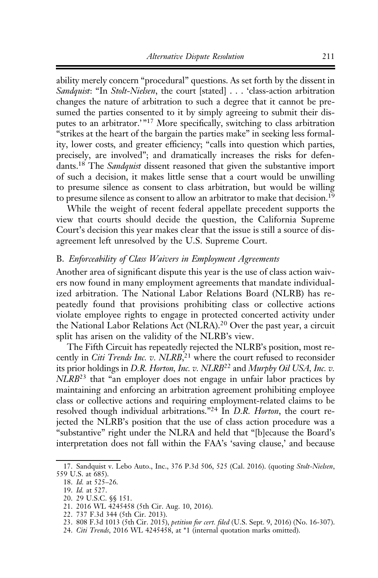ability merely concern "procedural" questions. As set forth by the dissent in Sandquist: "In Stolt-Nielsen, the court [stated] . . . 'class-action arbitration changes the nature of arbitration to such a degree that it cannot be presumed the parties consented to it by simply agreeing to submit their disputes to an arbitrator.'"<sup>17</sup> More specifically, switching to class arbitration "strikes at the heart of the bargain the parties make" in seeking less formality, lower costs, and greater efficiency; "calls into question which parties, precisely, are involved"; and dramatically increases the risks for defendants.<sup>18</sup> The Sandquist dissent reasoned that given the substantive import of such a decision, it makes little sense that a court would be unwilling to presume silence as consent to class arbitration, but would be willing to presume silence as consent to allow an arbitrator to make that decision.<sup>19</sup>

While the weight of recent federal appellate precedent supports the view that courts should decide the question, the California Supreme Court's decision this year makes clear that the issue is still a source of disagreement left unresolved by the U.S. Supreme Court.

## B. Enforceability of Class Waivers in Employment Agreements

Another area of significant dispute this year is the use of class action waivers now found in many employment agreements that mandate individualized arbitration. The National Labor Relations Board (NLRB) has repeatedly found that provisions prohibiting class or collective actions violate employee rights to engage in protected concerted activity under the National Labor Relations Act (NLRA).<sup>20</sup> Over the past year, a circuit split has arisen on the validity of the NLRB's view.

The Fifth Circuit has repeatedly rejected the NLRB's position, most recently in Citi Trends Inc. v. NLRB,<sup>21</sup> where the court refused to reconsider its prior holdings in D.R. Horton, Inc. v. NLRB<sup>22</sup> and Murphy Oil USA, Inc. v. NLRB<sup>23</sup> that "an employer does not engage in unfair labor practices by maintaining and enforcing an arbitration agreement prohibiting employee class or collective actions and requiring employment-related claims to be resolved though individual arbitrations."<sup>24</sup> In D.R. Horton, the court rejected the NLRB's position that the use of class action procedure was a "substantive" right under the NLRA and held that "[b]ecause the Board's interpretation does not fall within the FAA's 'saving clause,' and because

<sup>17.</sup> Sandquist v. Lebo Auto., Inc., 376 P.3d 506, 525 (Cal. 2016). (quoting Stolt-Nielsen, 559 U.S. at 685).

<sup>18.</sup> Id. at 525–26.

<sup>19.</sup> Id. at 527.

<sup>20. 29</sup> U.S.C. §§ 151.

<sup>21. 2016</sup> WL 4245458 (5th Cir. Aug. 10, 2016).

<sup>22. 737</sup> F.3d 344 (5th Cir. 2013).

<sup>23. 808</sup> F.3d 1013 (5th Cir. 2015), petition for cert. filed (U.S. Sept. 9, 2016) (No. 16-307).

<sup>24.</sup> Citi Trends, 2016 WL 4245458, at \*1 (internal quotation marks omitted).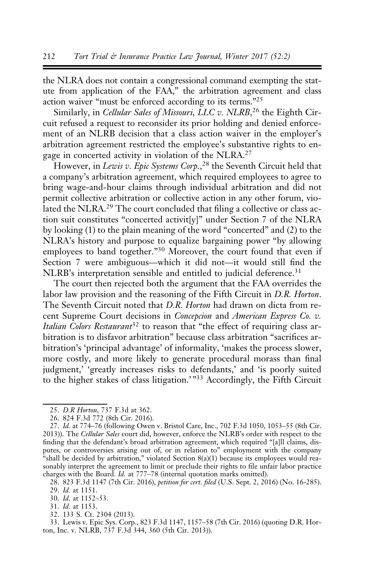the NLRA does not contain a congressional command exempting the statute from application of the FAA," the arbitration agreement and class action waiver "must be enforced according to its terms."25

Similarly, in Cellular Sales of Missouri, LLC v. NLRB,<sup>26</sup> the Eighth Circuit refused a request to reconsider its prior holding and denied enforcement of an NLRB decision that a class action waiver in the employer's arbitration agreement restricted the employee's substantive rights to engage in concerted activity in violation of the NLRA.<sup>27</sup>

However, in Lewis v. Epic Systems Corp.,<sup>28</sup> the Seventh Circuit held that a company's arbitration agreement, which required employees to agree to bring wage-and-hour claims through individual arbitration and did not permit collective arbitration or collective action in any other forum, violated the NLRA.<sup>29</sup> The court concluded that filing a collective or class action suit constitutes "concerted activit[y]" under Section 7 of the NLRA by looking (1) to the plain meaning of the word "concerted" and (2) to the NLRA's history and purpose to equalize bargaining power "by allowing employees to band together."<sup>30</sup> Moreover, the court found that even if Section 7 were ambiguous—which it did not—it would still find the NLRB's interpretation sensible and entitled to judicial deference.<sup>31</sup>

The court then rejected both the argument that the FAA overrides the labor law provision and the reasoning of the Fifth Circuit in D.R. Horton. The Seventh Circuit noted that D.R. Horton had drawn on dicta from recent Supreme Court decisions in Concepcion and American Express Co. v. Italian Colors Restaurant<sup>32</sup> to reason that "the effect of requiring class arbitration is to disfavor arbitration" because class arbitration "sacrifices arbitration's 'principal advantage' of informality, 'makes the process slower, more costly, and more likely to generate procedural morass than final judgment,' 'greatly increases risks to defendants,' and 'is poorly suited to the higher stakes of class litigation.' "<sup>33</sup> Accordingly, the Fifth Circuit

32. 133 S. Ct. 2304 (2013).

33. Lewis v. Epic Sys. Corp., 823 F.3d 1147, 1157–58 (7th Cir. 2016) (quoting D.R. Horton, Inc. v. NLRB, 737 F.3d 344, 360 (5th Cir. 2013)).

<sup>25.</sup> D.R Horton, 737 F.3d at 362.

<sup>26. 824</sup> F.3d 772 (8th Cir. 2016).

<sup>27.</sup> Id. at 774–76 (following Owen v. Bristol Care, Inc., 702 F.3d 1050, 1053–55 (8th Cir. 2013)). The Cellular Sales court did, however, enforce the NLRB's order with respect to the finding that the defendant's broad arbitration agreement, which required "[a]ll claims, disputes, or controversies arising out of, or in relation to" employment with the company "shall be decided by arbitration," violated Section 8(a)(1) because its employees would reasonably interpret the agreement to limit or preclude their rights to file unfair labor practice charges with the Board. Id. at 777–78 (internal quotation marks omitted).

<sup>28. 823</sup> F.3d 1147 (7th Cir. 2016), petition for cert. filed (U.S. Sept. 2, 2016) (No. 16-285). 29. Id. at 1151.

<sup>30.</sup> Id. at 1152–53.

<sup>31.</sup> Id. at 1153.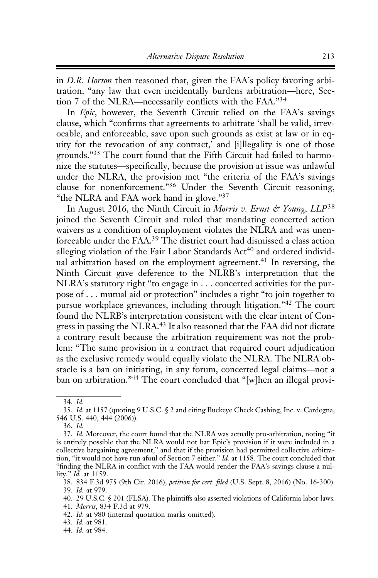in D.R. Horton then reasoned that, given the FAA's policy favoring arbitration, "any law that even incidentally burdens arbitration—here, Section 7 of the NLRA—necessarily conflicts with the FAA."<sup>34</sup>

In Epic, however, the Seventh Circuit relied on the FAA's savings clause, which "confirms that agreements to arbitrate 'shall be valid, irrevocable, and enforceable, save upon such grounds as exist at law or in equity for the revocation of any contract,' and [i]llegality is one of those grounds."<sup>35</sup> The court found that the Fifth Circuit had failed to harmonize the statutes—specifically, because the provision at issue was unlawful under the NLRA, the provision met "the criteria of the FAA's savings clause for nonenforcement."<sup>36</sup> Under the Seventh Circuit reasoning, "the NLRA and FAA work hand in glove."<sup>37</sup>

In August 2016, the Ninth Circuit in *Morris v. Ernst & Young*,  $LLP^{38}$ joined the Seventh Circuit and ruled that mandating concerted action waivers as a condition of employment violates the NLRA and was unenforceable under the FAA.<sup>39</sup> The district court had dismissed a class action alleging violation of the Fair Labor Standards  $Act^{40}$  and ordered individual arbitration based on the employment agreement.<sup>41</sup> In reversing, the Ninth Circuit gave deference to the NLRB's interpretation that the NLRA's statutory right "to engage in . . . concerted activities for the purpose of . . . mutual aid or protection" includes a right "to join together to pursue workplace grievances, including through litigation."<sup>42</sup> The court found the NLRB's interpretation consistent with the clear intent of Congress in passing the NLRA.<sup>43</sup> It also reasoned that the FAA did not dictate a contrary result because the arbitration requirement was not the problem: "The same provision in a contract that required court adjudication as the exclusive remedy would equally violate the NLRA. The NLRA obstacle is a ban on initiating, in any forum, concerted legal claims—not a ban on arbitration."<sup>44</sup> The court concluded that "[w]hen an illegal provi-

43. Id. at 981.

<sup>34.</sup> Id.

<sup>35.</sup> Id. at 1157 (quoting 9 U.S.C. § 2 and citing Buckeye Check Cashing, Inc. v. Cardegna, 546 U.S. 440, 444 (2006)).

<sup>36.</sup> Id.

<sup>37.</sup> Id. Moreover, the court found that the NLRA was actually pro-arbitration, noting "it is entirely possible that the NLRA would not bar Epic's provision if it were included in a collective bargaining agreement," and that if the provision had permitted collective arbitration, "it would not have run afoul of Section 7 either." Id. at 1158. The court concluded that "finding the NLRA in conflict with the FAA would render the FAA's savings clause a nullity." *Id.* at 1159.

<sup>38. 834</sup> F.3d 975 (9th Cir. 2016), petition for cert. filed (U.S. Sept. 8, 2016) (No. 16-300). 39. Id. at 979.

<sup>40. 29</sup> U.S.C. § 201 (FLSA). The plaintiffs also asserted violations of California labor laws.

<sup>41.</sup> Morris, 834 F.3d at 979.

<sup>42.</sup> Id. at 980 (internal quotation marks omitted).

<sup>44.</sup> Id. at 984.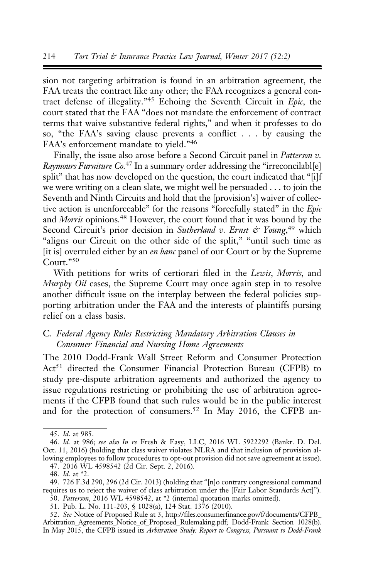sion not targeting arbitration is found in an arbitration agreement, the FAA treats the contract like any other; the FAA recognizes a general contract defense of illegality."<sup>45</sup> Echoing the Seventh Circuit in Epic, the court stated that the FAA "does not mandate the enforcement of contract terms that waive substantive federal rights," and when it professes to do so, "the FAA's saving clause prevents a conflict . . . by causing the FAA's enforcement mandate to yield."<sup>46</sup>

Finally, the issue also arose before a Second Circuit panel in Patterson v. Raymours Furniture  $Co^{47}$  In a summary order addressing the "irreconcilabl[e] split" that has now developed on the question, the court indicated that "[i]f we were writing on a clean slate, we might well be persuaded . . . to join the Seventh and Ninth Circuits and hold that the [provision's] waiver of collective action is unenforceable" for the reasons "forcefully stated" in the Epic and Morris opinions.48 However, the court found that it was bound by the Second Circuit's prior decision in Sutherland v. Ernst & Young,<sup>49</sup> which "aligns our Circuit on the other side of the split," "until such time as [it is] overruled either by an *en banc* panel of our Court or by the Supreme Court."<sup>50</sup>

With petitions for writs of certiorari filed in the Lewis, Morris, and Murphy Oil cases, the Supreme Court may once again step in to resolve another difficult issue on the interplay between the federal policies supporting arbitration under the FAA and the interests of plaintiffs pursing relief on a class basis.

# C. Federal Agency Rules Restricting Mandatory Arbitration Clauses in Consumer Financial and Nursing Home Agreements

The 2010 Dodd-Frank Wall Street Reform and Consumer Protection Act<sup>51</sup> directed the Consumer Financial Protection Bureau (CFPB) to study pre-dispute arbitration agreements and authorized the agency to issue regulations restricting or prohibiting the use of arbitration agreements if the CFPB found that such rules would be in the public interest and for the protection of consumers.<sup>52</sup> In May 2016, the CFPB an-

<sup>45.</sup> Id. at 985.

<sup>46.</sup> Id. at 986; see also In re Fresh & Easy, LLC, 2016 WL 5922292 (Bankr. D. Del. Oct. 11, 2016) (holding that class waiver violates NLRA and that inclusion of provision allowing employees to follow procedures to opt-out provision did not save agreement at issue). 47. 2016 WL 4598542 (2d Cir. Sept. 2, 2016).

<sup>48.</sup> Id. at \*2.

<sup>49. 726</sup> F.3d 290, 296 (2d Cir. 2013) (holding that "[n]o contrary congressional command requires us to reject the waiver of class arbitration under the [Fair Labor Standards Act]").

<sup>50.</sup> Patterson, 2016 WL 4598542, at \*2 (internal quotation marks omitted).

<sup>51.</sup> Pub. L. No. 111-203, § 1028(a), 124 Stat. 1376 (2010).

<sup>52.</sup> See Notice of Proposed Rule at 3, http://files.consumerfinance.gov/f/documents/CFPB\_ Arbitration\_Agreements\_Notice\_of\_Proposed\_Rulemaking.pdf; Dodd-Frank Section 1028(b). In May 2015, the CFPB issued its Arbitration Study: Report to Congress, Pursuant to Dodd-Frank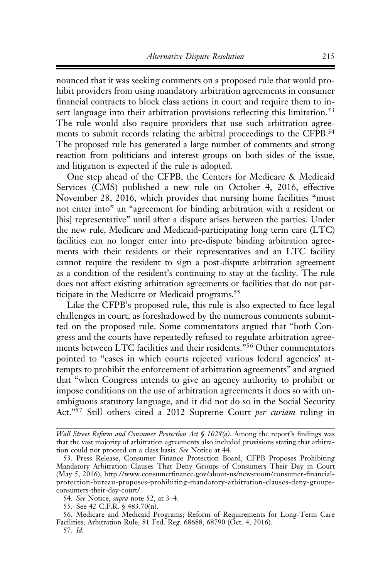nounced that it was seeking comments on a proposed rule that would prohibit providers from using mandatory arbitration agreements in consumer financial contracts to block class actions in court and require them to insert language into their arbitration provisions reflecting this limitation.<sup>53</sup> The rule would also require providers that use such arbitration agreements to submit records relating the arbitral proceedings to the CFPB.<sup>54</sup> The proposed rule has generated a large number of comments and strong reaction from politicians and interest groups on both sides of the issue, and litigation is expected if the rule is adopted.

One step ahead of the CFPB, the Centers for Medicare & Medicaid Services (CMS) published a new rule on October 4, 2016, effective November 28, 2016, which provides that nursing home facilities "must not enter into" an "agreement for binding arbitration with a resident or [his] representative" until after a dispute arises between the parties. Under the new rule, Medicare and Medicaid-participating long term care (LTC) facilities can no longer enter into pre-dispute binding arbitration agreements with their residents or their representatives and an LTC facility cannot require the resident to sign a post-dispute arbitration agreement as a condition of the resident's continuing to stay at the facility. The rule does not affect existing arbitration agreements or facilities that do not participate in the Medicare or Medicaid programs.<sup>55</sup>

Like the CFPB's proposed rule, this rule is also expected to face legal challenges in court, as foreshadowed by the numerous comments submitted on the proposed rule. Some commentators argued that "both Congress and the courts have repeatedly refused to regulate arbitration agreements between LTC facilities and their residents."<sup>56</sup> Other commentators pointed to "cases in which courts rejected various federal agencies' attempts to prohibit the enforcement of arbitration agreements" and argued that "when Congress intends to give an agency authority to prohibit or impose conditions on the use of arbitration agreements it does so with unambiguous statutory language, and it did not do so in the Social Security Act."<sup>57</sup> Still others cited a 2012 Supreme Court *per curiam* ruling in

56. Medicare and Medicaid Programs; Reform of Requirements for Long-Term Care Facilities; Arbitration Rule, 81 Fed. Reg. 68688, 68790 (Oct. 4, 2016).

Wall Street Reform and Consumer Protection Act § 1028(a). Among the report's findings was that the vast majority of arbitration agreements also included provisions stating that arbitration could not proceed on a class basis. See Notice at 44.

<sup>53.</sup> Press Release, Consumer Finance Protection Board, CFPB Proposes Prohibiting Mandatory Arbitration Clauses That Deny Groups of Consumers Their Day in Court (May 5, 2016), http://www.consumerfinance.gov/about-us/newsroom/consumer-financialprotection-bureau-proposes-prohibiting-mandatory-arbitration-clauses-deny-groupsconsumers-their-day-court/.

<sup>54.</sup> See Notice, supra note 52, at 3–4.

<sup>55.</sup> See 42 C.F.R. § 483.70(n).

<sup>57.</sup> Id.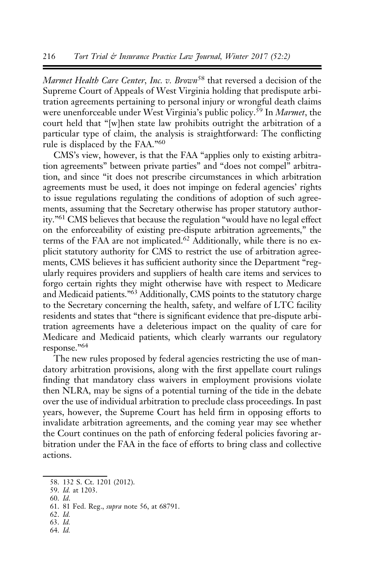Marmet Health Care Center, Inc. v. Brown<sup>58</sup> that reversed a decision of the Supreme Court of Appeals of West Virginia holding that predispute arbitration agreements pertaining to personal injury or wrongful death claims were unenforceable under West Virginia's public policy.<sup>59</sup> In *Marmet*, the court held that "[w]hen state law prohibits outright the arbitration of a particular type of claim, the analysis is straightforward: The conflicting rule is displaced by the FAA."60

CMS's view, however, is that the FAA "applies only to existing arbitration agreements" between private parties" and "does not compel" arbitration, and since "it does not prescribe circumstances in which arbitration agreements must be used, it does not impinge on federal agencies' rights to issue regulations regulating the conditions of adoption of such agreements, assuming that the Secretary otherwise has proper statutory authority."61 CMS believes that because the regulation "would have no legal effect on the enforceability of existing pre-dispute arbitration agreements," the terms of the FAA are not implicated.<sup>62</sup> Additionally, while there is no explicit statutory authority for CMS to restrict the use of arbitration agreements, CMS believes it has sufficient authority since the Department "regularly requires providers and suppliers of health care items and services to forgo certain rights they might otherwise have with respect to Medicare and Medicaid patients."63 Additionally, CMS points to the statutory charge to the Secretary concerning the health, safety, and welfare of LTC facility residents and states that "there is significant evidence that pre-dispute arbitration agreements have a deleterious impact on the quality of care for Medicare and Medicaid patients, which clearly warrants our regulatory response."64

The new rules proposed by federal agencies restricting the use of mandatory arbitration provisions, along with the first appellate court rulings finding that mandatory class waivers in employment provisions violate then NLRA, may be signs of a potential turning of the tide in the debate over the use of individual arbitration to preclude class proceedings. In past years, however, the Supreme Court has held firm in opposing efforts to invalidate arbitration agreements, and the coming year may see whether the Court continues on the path of enforcing federal policies favoring arbitration under the FAA in the face of efforts to bring class and collective actions.

60. Id.

- 62. Id.
- 63. Id.
- 64. Id.

<sup>58. 132</sup> S. Ct. 1201 (2012).

<sup>59.</sup> Id. at 1203.

<sup>61. 81</sup> Fed. Reg., supra note 56, at 68791.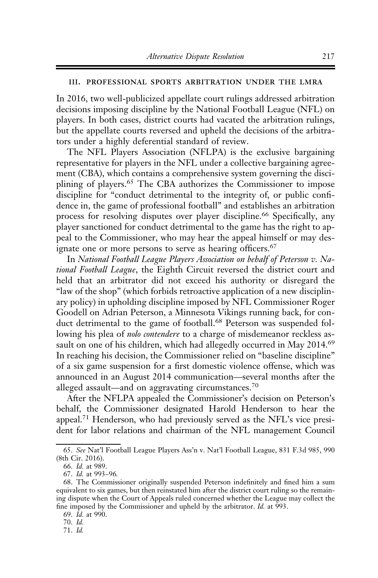#### iii. professional sports arbitration under the lmra

In 2016, two well-publicized appellate court rulings addressed arbitration decisions imposing discipline by the National Football League (NFL) on players. In both cases, district courts had vacated the arbitration rulings, but the appellate courts reversed and upheld the decisions of the arbitrators under a highly deferential standard of review.

The NFL Players Association (NFLPA) is the exclusive bargaining representative for players in the NFL under a collective bargaining agreement (CBA), which contains a comprehensive system governing the disciplining of players.<sup>65</sup> The CBA authorizes the Commissioner to impose discipline for "conduct detrimental to the integrity of, or public confidence in, the game of professional football" and establishes an arbitration process for resolving disputes over player discipline.<sup>66</sup> Specifically, any player sanctioned for conduct detrimental to the game has the right to appeal to the Commissioner, who may hear the appeal himself or may designate one or more persons to serve as hearing officers.<sup>67</sup>

In National Football League Players Association on behalf of Peterson v. National Football League, the Eighth Circuit reversed the district court and held that an arbitrator did not exceed his authority or disregard the "law of the shop" (which forbids retroactive application of a new disciplinary policy) in upholding discipline imposed by NFL Commissioner Roger Goodell on Adrian Peterson, a Minnesota Vikings running back, for conduct detrimental to the game of football.<sup>68</sup> Peterson was suspended following his plea of *nolo contendere* to a charge of misdemeanor reckless assault on one of his children, which had allegedly occurred in May 2014.<sup>69</sup> In reaching his decision, the Commissioner relied on "baseline discipline" of a six game suspension for a first domestic violence offense, which was announced in an August 2014 communication—several months after the alleged assault—and on aggravating circumstances.<sup>70</sup>

After the NFLPA appealed the Commissioner's decision on Peterson's behalf, the Commissioner designated Harold Henderson to hear the appeal.71 Henderson, who had previously served as the NFL's vice president for labor relations and chairman of the NFL management Council

<sup>65.</sup> See Nat'l Football League Players Ass'n v. Nat'l Football League, 831 F.3d 985, 990 (8th Cir. 2016).

<sup>66.</sup> Id. at 989.

<sup>67.</sup> Id. at 993–96.

<sup>68.</sup> The Commissioner originally suspended Peterson indefinitely and fined him a sum equivalent to six games, but then reinstated him after the district court ruling so the remaining dispute when the Court of Appeals ruled concerned whether the League may collect the fine imposed by the Commissioner and upheld by the arbitrator. *Id.* at 993.

<sup>69.</sup> Id. at 990.

<sup>70.</sup> Id.

<sup>71.</sup> Id.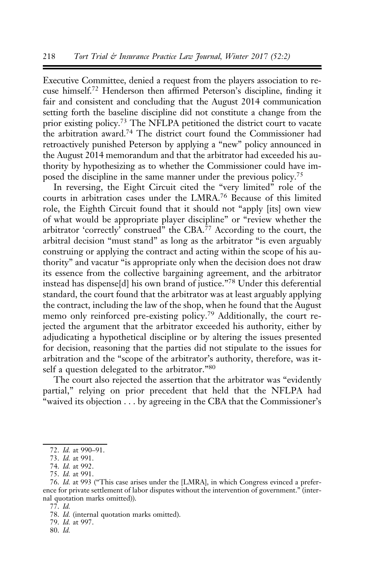Executive Committee, denied a request from the players association to recuse himself.72 Henderson then affirmed Peterson's discipline, finding it fair and consistent and concluding that the August 2014 communication setting forth the baseline discipline did not constitute a change from the prior existing policy.73 The NFLPA petitioned the district court to vacate the arbitration award.74 The district court found the Commissioner had retroactively punished Peterson by applying a "new" policy announced in the August 2014 memorandum and that the arbitrator had exceeded his authority by hypothesizing as to whether the Commissioner could have imposed the discipline in the same manner under the previous policy.<sup>75</sup>

In reversing, the Eight Circuit cited the "very limited" role of the courts in arbitration cases under the LMRA.<sup>76</sup> Because of this limited role, the Eighth Circuit found that it should not "apply [its] own view of what would be appropriate player discipline" or "review whether the arbitrator 'correctly' construed" the CBA.<sup>77</sup> According to the court, the arbitral decision "must stand" as long as the arbitrator "is even arguably construing or applying the contract and acting within the scope of his authority" and vacatur "is appropriate only when the decision does not draw its essence from the collective bargaining agreement, and the arbitrator instead has dispense[d] his own brand of justice."<sup>78</sup> Under this deferential standard, the court found that the arbitrator was at least arguably applying the contract, including the law of the shop, when he found that the August memo only reinforced pre-existing policy.<sup>79</sup> Additionally, the court rejected the argument that the arbitrator exceeded his authority, either by adjudicating a hypothetical discipline or by altering the issues presented for decision, reasoning that the parties did not stipulate to the issues for arbitration and the "scope of the arbitrator's authority, therefore, was itself a question delegated to the arbitrator."<sup>80</sup>

The court also rejected the assertion that the arbitrator was "evidently partial," relying on prior precedent that held that the NFLPA had "waived its objection . . . by agreeing in the CBA that the Commissioner's

80. Id.

<sup>72.</sup> Id. at 990–91.

<sup>73.</sup> Id. at 991.

<sup>74.</sup> Id. at 992.

<sup>75.</sup> Id. at 991.

<sup>76.</sup> Id. at 993 ("This case arises under the [LMRA], in which Congress evinced a preference for private settlement of labor disputes without the intervention of government." (internal quotation marks omitted)).

<sup>77.</sup> Id.

<sup>78.</sup> Id. (internal quotation marks omitted).

<sup>79.</sup> Id. at 997.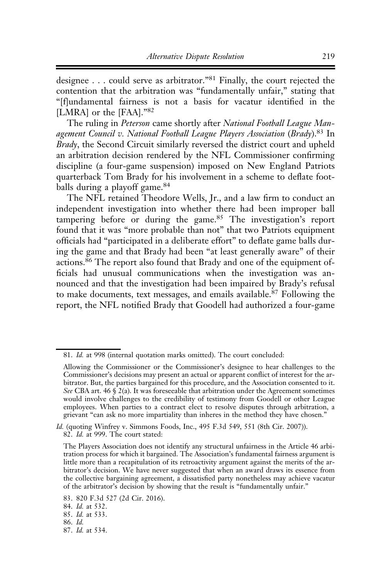designee . . . could serve as arbitrator."<sup>81</sup> Finally, the court rejected the contention that the arbitration was "fundamentally unfair," stating that "[f]undamental fairness is not a basis for vacatur identified in the [LMRA] or the [FAA]."<sup>82</sup>

The ruling in Peterson came shortly after National Football League Management Council v. National Football League Players Association (Brady).<sup>83</sup> In Brady, the Second Circuit similarly reversed the district court and upheld an arbitration decision rendered by the NFL Commissioner confirming discipline (a four-game suspension) imposed on New England Patriots quarterback Tom Brady for his involvement in a scheme to deflate footballs during a playoff game.<sup>84</sup>

The NFL retained Theodore Wells, Jr., and a law firm to conduct an independent investigation into whether there had been improper ball tampering before or during the game.<sup>85</sup> The investigation's report found that it was "more probable than not" that two Patriots equipment officials had "participated in a deliberate effort" to deflate game balls during the game and that Brady had been "at least generally aware" of their actions.86 The report also found that Brady and one of the equipment officials had unusual communications when the investigation was announced and that the investigation had been impaired by Brady's refusal to make documents, text messages, and emails available.<sup>87</sup> Following the report, the NFL notified Brady that Goodell had authorized a four-game

<sup>81.</sup> Id. at 998 (internal quotation marks omitted). The court concluded:

Allowing the Commissioner or the Commissioner's designee to hear challenges to the Commissioner's decisions may present an actual or apparent conflict of interest for the arbitrator. But, the parties bargained for this procedure, and the Association consented to it. See CBA art. 46  $\S$  2(a). It was foreseeable that arbitration under the Agreement sometimes would involve challenges to the credibility of testimony from Goodell or other League employees. When parties to a contract elect to resolve disputes through arbitration, a grievant "can ask no more impartiality than inheres in the method they have chosen."

Id. (quoting Winfrey v. Simmons Foods, Inc., 495 F.3d 549, 551 (8th Cir. 2007)). 82. Id. at 999. The court stated:

The Players Association does not identify any structural unfairness in the Article 46 arbitration process for which it bargained. The Association's fundamental fairness argument is little more than a recapitulation of its retroactivity argument against the merits of the arbitrator's decision. We have never suggested that when an award draws its essence from the collective bargaining agreement, a dissatisfied party nonetheless may achieve vacatur of the arbitrator's decision by showing that the result is "fundamentally unfair."

<sup>83. 820</sup> F.3d 527 (2d Cir. 2016).

<sup>84.</sup> Id. at 532.

<sup>85.</sup> Id. at 533.

<sup>86.</sup> Id.

<sup>87.</sup> Id. at 534.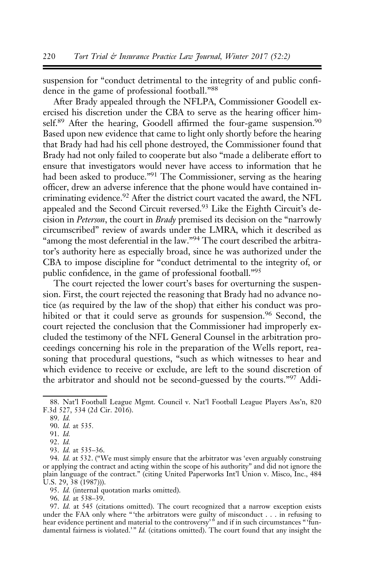suspension for "conduct detrimental to the integrity of and public confidence in the game of professional football."<sup>88</sup>

After Brady appealed through the NFLPA, Commissioner Goodell exercised his discretion under the CBA to serve as the hearing officer himself.<sup>89</sup> After the hearing, Goodell affirmed the four-game suspension.<sup>90</sup> Based upon new evidence that came to light only shortly before the hearing that Brady had had his cell phone destroyed, the Commissioner found that Brady had not only failed to cooperate but also "made a deliberate effort to ensure that investigators would never have access to information that he had been asked to produce."91 The Commissioner, serving as the hearing officer, drew an adverse inference that the phone would have contained incriminating evidence.<sup>92</sup> After the district court vacated the award, the NFL appealed and the Second Circuit reversed.93 Like the Eighth Circuit's decision in Peterson, the court in Brady premised its decision on the "narrowly circumscribed" review of awards under the LMRA, which it described as "among the most deferential in the law."94 The court described the arbitrator's authority here as especially broad, since he was authorized under the CBA to impose discipline for "conduct detrimental to the integrity of, or public confidence, in the game of professional football."95

The court rejected the lower court's bases for overturning the suspension. First, the court rejected the reasoning that Brady had no advance notice (as required by the law of the shop) that either his conduct was prohibited or that it could serve as grounds for suspension.<sup>96</sup> Second, the court rejected the conclusion that the Commissioner had improperly excluded the testimony of the NFL General Counsel in the arbitration proceedings concerning his role in the preparation of the Wells report, reasoning that procedural questions, "such as which witnesses to hear and which evidence to receive or exclude, are left to the sound discretion of the arbitrator and should not be second-guessed by the courts."<sup>97</sup> Addi-

96. Id. at 538–39.

<sup>88.</sup> Nat'l Football League Mgmt. Council v. Nat'l Football League Players Ass'n, 820 F.3d 527, 534 (2d Cir. 2016).

<sup>89.</sup> Id.

<sup>90.</sup> Id. at 535.

<sup>91.</sup> Id.

<sup>92.</sup> Id.

<sup>93.</sup> Id. at 535–36.

<sup>94.</sup> Id. at 532. ("We must simply ensure that the arbitrator was 'even arguably construing or applying the contract and acting within the scope of his authority" and did not ignore the plain language of the contract." (citing United Paperworks Int'l Union v. Misco, Inc., 484 U.S. 29, 38 (1987))).

<sup>95.</sup> Id. (internal quotation marks omitted).

<sup>97.</sup> Id. at 545 (citations omitted). The court recognized that a narrow exception exists under the FAA only where "'the arbitrators were guilty of misconduct . . . in refusing to hear evidence pertinent and material to the controversy'<sup>"</sup> and if in such circumstances "'fundamental fairness is violated.'"  $Id$ . (citations omitted). The court found that any insight the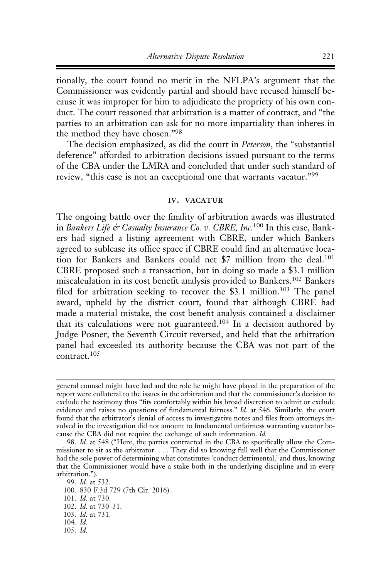tionally, the court found no merit in the NFLPA's argument that the Commissioner was evidently partial and should have recused himself because it was improper for him to adjudicate the propriety of his own conduct. The court reasoned that arbitration is a matter of contract, and "the parties to an arbitration can ask for no more impartiality than inheres in the method they have chosen."98

The decision emphasized, as did the court in Peterson, the "substantial" deference" afforded to arbitration decisions issued pursuant to the terms of the CBA under the LMRA and concluded that under such standard of review, "this case is not an exceptional one that warrants vacatur."<sup>99</sup>

## iv. vacatur

The ongoing battle over the finality of arbitration awards was illustrated in Bankers Life & Casualty Insurance Co. v. CBRE, Inc.<sup>100</sup> In this case, Bankers had signed a listing agreement with CBRE, under which Bankers agreed to sublease its office space if CBRE could find an alternative location for Bankers and Bankers could net \$7 million from the deal.<sup>101</sup> CBRE proposed such a transaction, but in doing so made a \$3.1 million miscalculation in its cost benefit analysis provided to Bankers.<sup>102</sup> Bankers filed for arbitration seeking to recover the \$3.1 million.<sup>103</sup> The panel award, upheld by the district court, found that although CBRE had made a material mistake, the cost benefit analysis contained a disclaimer that its calculations were not guaranteed.<sup>104</sup> In a decision authored by Judge Posner, the Seventh Circuit reversed, and held that the arbitration panel had exceeded its authority because the CBA was not part of the contract.<sup>105</sup>

99. Id. at 532. 100. 830 F.3d 729 (7th Cir. 2016). 101. Id. at 730. 102. Id. at 730–31. 103. Id. at 731. 104. Id. 105. Id.

general counsel might have had and the role he might have played in the preparation of the report were collateral to the issues in the arbitration and that the commissioner's decision to exclude the testimony thus "fits comfortably within his broad discretion to admit or exclude evidence and raises no questions of fundamental fairness." Id. at 546. Similarly, the court found that the arbitrator's denial of access to investigative notes and files from attorneys involved in the investigation did not amount to fundamental unfairness warranting vacatur because the CBA did not require the exchange of such information. Id.

<sup>98.</sup> Id. at 548 ("Here, the parties contracted in the CBA to specifically allow the Commissioner to sit as the arbitrator. . . . They did so knowing full well that the Commissioner had the sole power of determining what constitutes 'conduct detrimental,' and thus, knowing that the Commissioner would have a stake both in the underlying discipline and in every arbitration.").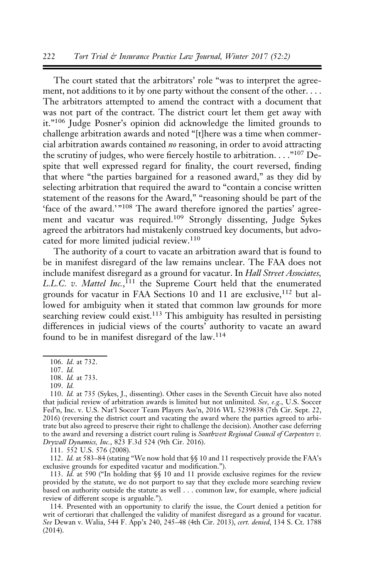The court stated that the arbitrators' role "was to interpret the agreement, not additions to it by one party without the consent of the other. . . . The arbitrators attempted to amend the contract with a document that was not part of the contract. The district court let them get away with it."106 Judge Posner's opinion did acknowledge the limited grounds to challenge arbitration awards and noted "[t]here was a time when commercial arbitration awards contained no reasoning, in order to avoid attracting the scrutiny of judges, who were fiercely hostile to arbitration. . . ."<sup>107</sup> Despite that well expressed regard for finality, the court reversed, finding that where "the parties bargained for a reasoned award," as they did by selecting arbitration that required the award to "contain a concise written statement of the reasons for the Award," "reasoning should be part of the 'face of the award.'"<sup>108</sup> The award therefore ignored the parties' agreement and vacatur was required.<sup>109</sup> Strongly dissenting, Judge Sykes agreed the arbitrators had mistakenly construed key documents, but advocated for more limited judicial review.<sup>110</sup>

The authority of a court to vacate an arbitration award that is found to be in manifest disregard of the law remains unclear. The FAA does not include manifest disregard as a ground for vacatur. In Hall Street Associates, L.L.C. v. Mattel Inc.,<sup>111</sup> the Supreme Court held that the enumerated grounds for vacatur in FAA Sections 10 and 11 are exclusive, <sup>112</sup> but allowed for ambiguity when it stated that common law grounds for more searching review could exist.<sup>113</sup> This ambiguity has resulted in persisting differences in judicial views of the courts' authority to vacate an award found to be in manifest disregard of the law.<sup>114</sup>

111. 552 U.S. 576 (2008).

112. Id. at 583-84 (stating "We now hold that §§ 10 and 11 respectively provide the FAA's exclusive grounds for expedited vacatur and modification.").

113. Id. at 590 ("In holding that §§ 10 and 11 provide exclusive regimes for the review provided by the statute, we do not purport to say that they exclude more searching review based on authority outside the statute as well . . . common law, for example, where judicial review of different scope is arguable.").

114. Presented with an opportunity to clarify the issue, the Court denied a petition for writ of certiorari that challenged the validity of manifest disregard as a ground for vacatur. See Dewan v. Walia, 544 F. App'x 240, 245–48 (4th Cir. 2013), cert. denied, 134 S. Ct. 1788 (2014).

<sup>106.</sup> Id. at 732.

<sup>107.</sup> Id.

<sup>108.</sup> Id. at 733.

<sup>109.</sup> Id.

<sup>110.</sup> Id. at 735 (Sykes, J., dissenting). Other cases in the Seventh Circuit have also noted that judicial review of arbitration awards is limited but not unlimited. See, e.g., U.S. Soccer Fed'n, Inc. v. U.S. Nat'l Soccer Team Players Ass'n, 2016 WL 5239838 (7th Cir. Sept. 22, 2016) (reversing the district court and vacating the award where the parties agreed to arbitrate but also agreed to preserve their right to challenge the decision). Another case deferring to the award and reversing a district court ruling is Southwest Regional Council of Carpenters v. Drywall Dynamics, Inc., 823 F.3d 524 (9th Cir. 2016).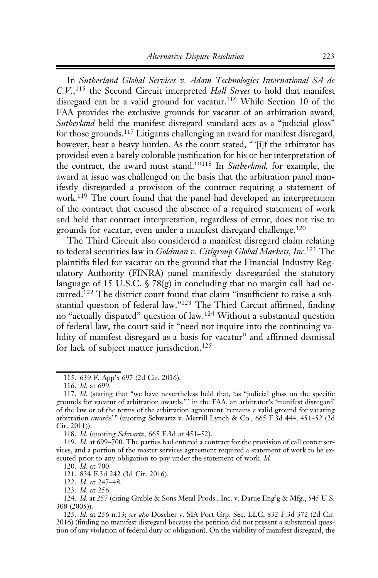In Sutherland Global Services v. Adam Technologies International SA de C.V.,<sup>115</sup> the Second Circuit interpreted Hall Street to hold that manifest disregard can be a valid ground for vacatur.<sup>116</sup> While Section 10 of the FAA provides the exclusive grounds for vacatur of an arbitration award, Sutherland held the manifest disregard standard acts as a "judicial gloss" for those grounds.117 Litigants challenging an award for manifest disregard, however, bear a heavy burden. As the court stated, "'[i]f the arbitrator has provided even a barely colorable justification for his or her interpretation of the contract, the award must stand.'"118 In Sutherland, for example, the award at issue was challenged on the basis that the arbitration panel manifestly disregarded a provision of the contract requiring a statement of work.119 The court found that the panel had developed an interpretation of the contract that excused the absence of a required statement of work and held that contract interpretation, regardless of error, does not rise to grounds for vacatur, even under a manifest disregard challenge.120

The Third Circuit also considered a manifest disregard claim relating to federal securities law in Goldman v. Citigroup Global Markets, Inc.<sup>121</sup> The plaintiffs filed for vacatur on the ground that the Financial Industry Regulatory Authority (FINRA) panel manifestly disregarded the statutory language of 15 U.S.C.  $\frac{5}{8}$  78(g) in concluding that no margin call had occurred.<sup>122</sup> The district court found that claim "insufficient to raise a substantial question of federal law."<sup>123</sup> The Third Circuit affirmed, finding no "actually disputed" question of law.<sup>124</sup> Without a substantial question of federal law, the court said it "need not inquire into the continuing validity of manifest disregard as a basis for vacatur" and affirmed dismissal for lack of subject matter jurisdiction.<sup>125</sup>

118. Id. (quoting Schwartz, 665 F.3d at 451–52).

121. 834 F.3d 242 (3d Cir. 2016).

122. Id. at 247–48.

123. Id. at 256.

<sup>115. 639</sup> F. App'x 697 (2d Cir. 2016).

<sup>116.</sup> Id. at 699.

<sup>117.</sup> Id. (stating that "we have nevertheless held that, 'as "judicial gloss on the specific grounds for vacatur of arbitration awards,"' in the FAA, an arbitrator's 'manifest disregard' of the law or of the terms of the arbitration agreement 'remains a valid ground for vacating arbitration awards'" (quoting Schwartz v. Merrill Lynch & Co., 665 F.3d 444, 451-52 (2d Cir. 2011)).

<sup>119.</sup> Id. at  $699-700$ . The parties had entered a contract for the provision of call center services, and a portion of the master services agreement required a statement of work to be executed prior to any obligation to pay under the statement of work. Id.

<sup>120.</sup> Id. at 700.

<sup>124.</sup> Id. at 257 (citing Grable & Sons Metal Prods., Inc. v. Darue Eng'g & Mfg., 545 U.S. 308 (2005)).

<sup>125.</sup> Id. at 256 n.13; see also Doscher v. SIA Port Grp. Sec. LLC, 832 F.3d 372 (2d Cir. 2016) (finding no manifest disregard because the petition did not present a substantial question of any violation of federal duty or obligation). On the viability of manifest disregard, the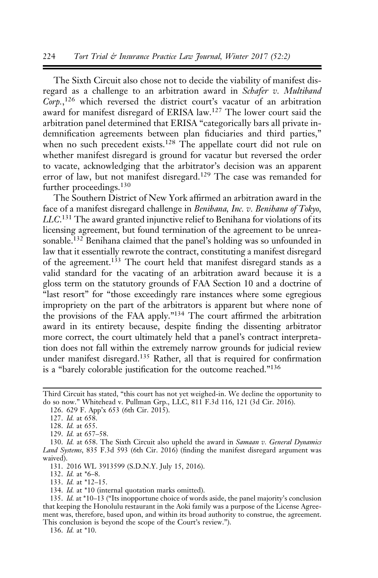The Sixth Circuit also chose not to decide the viability of manifest disregard as a challenge to an arbitration award in Schafer v. Multiband Corp.,<sup>126</sup> which reversed the district court's vacatur of an arbitration award for manifest disregard of ERISA law.127 The lower court said the arbitration panel determined that ERISA "categorically bars all private indemnification agreements between plan fiduciaries and third parties," when no such precedent exists.<sup>128</sup> The appellate court did not rule on whether manifest disregard is ground for vacatur but reversed the order to vacate, acknowledging that the arbitrator's decision was an apparent error of law, but not manifest disregard.<sup>129</sup> The case was remanded for further proceedings.<sup>130</sup>

The Southern District of New York affirmed an arbitration award in the face of a manifest disregard challenge in Benihana, Inc. v. Benihana of Tokyo, LLC.<sup>131</sup> The award granted injunctive relief to Benihana for violations of its licensing agreement, but found termination of the agreement to be unreasonable.<sup>132</sup> Benihana claimed that the panel's holding was so unfounded in law that it essentially rewrote the contract, constituting a manifest disregard of the agreement.<sup>133</sup> The court held that manifest disregard stands as a valid standard for the vacating of an arbitration award because it is a gloss term on the statutory grounds of FAA Section 10 and a doctrine of "last resort" for "those exceedingly rare instances where some egregious impropriety on the part of the arbitrators is apparent but where none of the provisions of the FAA apply."134 The court affirmed the arbitration award in its entirety because, despite finding the dissenting arbitrator more correct, the court ultimately held that a panel's contract interpretation does not fall within the extremely narrow grounds for judicial review under manifest disregard.135 Rather, all that is required for confirmation is a "barely colorable justification for the outcome reached."136

131. 2016 WL 3913599 (S.D.N.Y. July 15, 2016).

132. Id. at \*6–8.

- 133. Id. at \*12–15.
- 134. Id. at \*10 (internal quotation marks omitted).

136. Id. at \*10.

Third Circuit has stated, "this court has not yet weighed-in. We decline the opportunity to do so now." Whitehead v. Pullman Grp., LLC, 811 F.3d 116, 121 (3d Cir. 2016).

<sup>126. 629</sup> F. App'x 653 (6th Cir. 2015).

<sup>127.</sup> *Id.* at 658.

<sup>128.</sup> Id. at 655.

<sup>129.</sup> Id. at 657–58.

<sup>130.</sup> Id. at 658. The Sixth Circuit also upheld the award in Samaan v. General Dynamics Land Systems, 835 F.3d 593 (6th Cir. 2016) (finding the manifest disregard argument was waived).

<sup>135.</sup> Id. at \*10–13 ("Its inopportune choice of words aside, the panel majority's conclusion that keeping the Honolulu restaurant in the Aoki family was a purpose of the License Agreement was, therefore, based upon, and within its broad authority to construe, the agreement. This conclusion is beyond the scope of the Court's review.").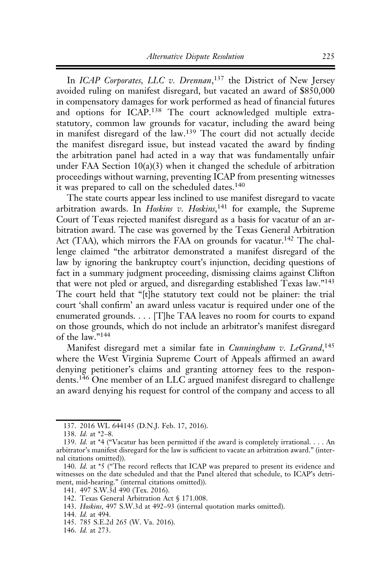In ICAP Corporates, LLC v. Drennan,<sup>137</sup> the District of New Jersey avoided ruling on manifest disregard, but vacated an award of \$850,000 in compensatory damages for work performed as head of financial futures and options for ICAP.<sup>138</sup> The court acknowledged multiple extrastatutory, common law grounds for vacatur, including the award being in manifest disregard of the law.<sup>139</sup> The court did not actually decide the manifest disregard issue, but instead vacated the award by finding the arbitration panel had acted in a way that was fundamentally unfair under FAA Section 10(a)(3) when it changed the schedule of arbitration proceedings without warning, preventing ICAP from presenting witnesses it was prepared to call on the scheduled dates.<sup>140</sup>

The state courts appear less inclined to use manifest disregard to vacate arbitration awards. In *Hoskins v. Hoskins*,<sup>141</sup> for example, the Supreme Court of Texas rejected manifest disregard as a basis for vacatur of an arbitration award. The case was governed by the Texas General Arbitration Act (TAA), which mirrors the FAA on grounds for vacatur.<sup>142</sup> The challenge claimed "the arbitrator demonstrated a manifest disregard of the law by ignoring the bankruptcy court's injunction, deciding questions of fact in a summary judgment proceeding, dismissing claims against Clifton that were not pled or argued, and disregarding established Texas law."143 The court held that "[t]he statutory text could not be plainer: the trial court 'shall confirm' an award unless vacatur is required under one of the enumerated grounds. . . . [T]he TAA leaves no room for courts to expand on those grounds, which do not include an arbitrator's manifest disregard of the law."144

Manifest disregard met a similar fate in Cunningham v. LeGrand,<sup>145</sup> where the West Virginia Supreme Court of Appeals affirmed an award denying petitioner's claims and granting attorney fees to the respondents.<sup>146</sup> One member of an LLC argued manifest disregard to challenge an award denying his request for control of the company and access to all

<sup>137. 2016</sup> WL 644145 (D.N.J. Feb. 17, 2016).

<sup>138.</sup> Id. at \*2–8.

<sup>139.</sup> Id. at \*4 ("Vacatur has been permitted if the award is completely irrational.... An arbitrator's manifest disregard for the law is sufficient to vacate an arbitration award." (internal citations omitted)).

<sup>140.</sup> Id. at \*5 ("The record reflects that ICAP was prepared to present its evidence and witnesses on the date scheduled and that the Panel altered that schedule, to ICAP's detriment, mid-hearing." (internal citations omitted)).

<sup>141. 497</sup> S.W.3d 490 (Tex. 2016).

<sup>142.</sup> Texas General Arbitration Act § 171.008.

<sup>143.</sup> Hoskins, 497 S.W.3d at 492–93 (internal quotation marks omitted).

<sup>144.</sup> Id. at 494.

<sup>145. 785</sup> S.E.2d 265 (W. Va. 2016).

<sup>146.</sup> Id. at 273.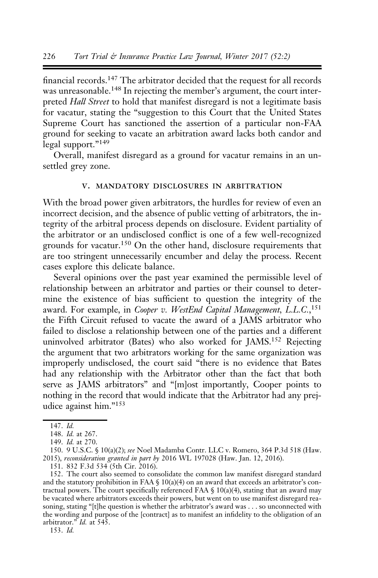financial records.147 The arbitrator decided that the request for all records was unreasonable.<sup>148</sup> In rejecting the member's argument, the court interpreted Hall Street to hold that manifest disregard is not a legitimate basis for vacatur, stating the "suggestion to this Court that the United States Supreme Court has sanctioned the assertion of a particular non-FAA ground for seeking to vacate an arbitration award lacks both candor and legal support."<sup>149</sup>

Overall, manifest disregard as a ground for vacatur remains in an unsettled grey zone.

## v. mandatory disclosures in arbitration

With the broad power given arbitrators, the hurdles for review of even an incorrect decision, and the absence of public vetting of arbitrators, the integrity of the arbitral process depends on disclosure. Evident partiality of the arbitrator or an undisclosed conflict is one of a few well-recognized grounds for vacatur.<sup>150</sup> On the other hand, disclosure requirements that are too stringent unnecessarily encumber and delay the process. Recent cases explore this delicate balance.

Several opinions over the past year examined the permissible level of relationship between an arbitrator and parties or their counsel to determine the existence of bias sufficient to question the integrity of the award. For example, in Cooper v. WestEnd Capital Management, L.L.C.,<sup>151</sup> the Fifth Circuit refused to vacate the award of a JAMS arbitrator who failed to disclose a relationship between one of the parties and a different uninvolved arbitrator (Bates) who also worked for JAMS.152 Rejecting the argument that two arbitrators working for the same organization was improperly undisclosed, the court said "there is no evidence that Bates had any relationship with the Arbitrator other than the fact that both serve as JAMS arbitrators" and "[m]ost importantly, Cooper points to nothing in the record that would indicate that the Arbitrator had any prejudice against him."153

153. Id.

<sup>147.</sup> Id.

<sup>148.</sup> Id. at 267.

<sup>149.</sup> Id. at 270.

<sup>150. 9</sup> U.S.C. § 10(a)(2); see Noel Madamba Contr. LLC v. Romero, 364 P.3d 518 (Haw. 2015), reconsideration granted in part by 2016 WL 197028 (Haw. Jan. 12, 2016).

<sup>151. 832</sup> F.3d 534 (5th Cir. 2016).

<sup>152.</sup> The court also seemed to consolidate the common law manifest disregard standard and the statutory prohibition in FAA  $\S$  10(a)(4) on an award that exceeds an arbitrator's contractual powers. The court specifically referenced FAA  $\S$  10(a)(4), stating that an award may be vacated where arbitrators exceeds their powers, but went on to use manifest disregard reasoning, stating "[t]he question is whether the arbitrator's award was . . . so unconnected with the wording and purpose of the [contract] as to manifest an infidelity to the obligation of an arbitrator." Id. at 545.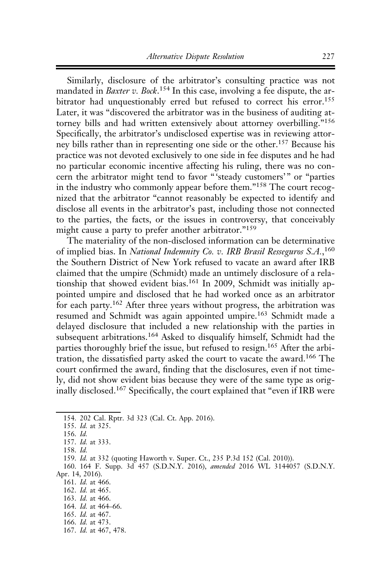Similarly, disclosure of the arbitrator's consulting practice was not mandated in *Baxter v. Bock*.<sup>154</sup> In this case, involving a fee dispute, the arbitrator had unquestionably erred but refused to correct his error.<sup>155</sup> Later, it was "discovered the arbitrator was in the business of auditing attorney bills and had written extensively about attorney overbilling."<sup>156</sup> Specifically, the arbitrator's undisclosed expertise was in reviewing attorney bills rather than in representing one side or the other.157 Because his practice was not devoted exclusively to one side in fee disputes and he had no particular economic incentive affecting his ruling, there was no concern the arbitrator might tend to favor "'steady customers'" or "parties in the industry who commonly appear before them."<sup>158</sup> The court recognized that the arbitrator "cannot reasonably be expected to identify and disclose all events in the arbitrator's past, including those not connected to the parties, the facts, or the issues in controversy, that conceivably might cause a party to prefer another arbitrator."<sup>159</sup>

The materiality of the non-disclosed information can be determinative of implied bias. In National Indemnity Co. v. IRB Brasil Resseguros S.A.,<sup>160</sup> the Southern District of New York refused to vacate an award after IRB claimed that the umpire (Schmidt) made an untimely disclosure of a relationship that showed evident bias.<sup>161</sup> In 2009, Schmidt was initially appointed umpire and disclosed that he had worked once as an arbitrator for each party.<sup>162</sup> After three years without progress, the arbitration was resumed and Schmidt was again appointed umpire.<sup>163</sup> Schmidt made a delayed disclosure that included a new relationship with the parties in subsequent arbitrations.<sup>164</sup> Asked to disqualify himself, Schmidt had the parties thoroughly brief the issue, but refused to resign.<sup>165</sup> After the arbitration, the dissatisfied party asked the court to vacate the award.166 The court confirmed the award, finding that the disclosures, even if not timely, did not show evident bias because they were of the same type as originally disclosed.<sup>167</sup> Specifically, the court explained that "even if IRB were

164. Id. at 464–66.

<sup>154. 202</sup> Cal. Rptr. 3d 323 (Cal. Ct. App. 2016).

<sup>155.</sup> Id. at 325.

<sup>156.</sup> Id.

<sup>157.</sup> Id. at 333.

<sup>158.</sup> Id.

<sup>159.</sup> Id. at 332 (quoting Haworth v. Super. Ct., 235 P.3d 152 (Cal. 2010)).

<sup>160. 164</sup> F. Supp. 3d 457 (S.D.N.Y. 2016), amended 2016 WL 3144057 (S.D.N.Y. Apr. 14, 2016).

<sup>161.</sup> Id. at 466.

<sup>162.</sup> Id. at 465.

<sup>163.</sup> Id. at 466.

<sup>165.</sup> Id. at 467. 166. Id. at 473.

<sup>167.</sup> Id. at 467, 478.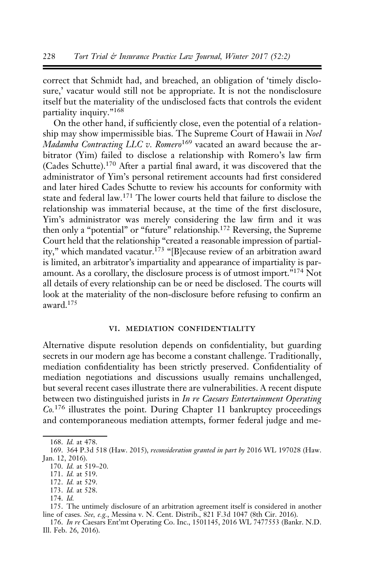correct that Schmidt had, and breached, an obligation of 'timely disclosure,' vacatur would still not be appropriate. It is not the nondisclosure itself but the materiality of the undisclosed facts that controls the evident partiality inquiry."<sup>168</sup>

On the other hand, if sufficiently close, even the potential of a relationship may show impermissible bias. The Supreme Court of Hawaii in Noel Madamba Contracting LLC v. Romero<sup>169</sup> vacated an award because the arbitrator (Yim) failed to disclose a relationship with Romero's law firm (Cades Schutte).<sup>170</sup> After a partial final award, it was discovered that the administrator of Yim's personal retirement accounts had first considered and later hired Cades Schutte to review his accounts for conformity with state and federal law.<sup>171</sup> The lower courts held that failure to disclose the relationship was immaterial because, at the time of the first disclosure, Yim's administrator was merely considering the law firm and it was then only a "potential" or "future" relationship.172 Reversing, the Supreme Court held that the relationship "created a reasonable impression of partiality," which mandated vacatur.<sup>173</sup> "[B]ecause review of an arbitration award is limited, an arbitrator's impartiality and appearance of impartiality is paramount. As a corollary, the disclosure process is of utmost import."174 Not all details of every relationship can be or need be disclosed. The courts will look at the materiality of the non-disclosure before refusing to confirm an award.175

#### vi. mediation confidentiality

Alternative dispute resolution depends on confidentiality, but guarding secrets in our modern age has become a constant challenge. Traditionally, mediation confidentiality has been strictly preserved. Confidentiality of mediation negotiations and discussions usually remains unchallenged, but several recent cases illustrate there are vulnerabilities. A recent dispute between two distinguished jurists in In re Caesars Entertainment Operating  $Co.176$  illustrates the point. During Chapter 11 bankruptcy proceedings and contemporaneous mediation attempts, former federal judge and me-

<sup>168.</sup> Id. at 478.

<sup>169. 364</sup> P.3d 518 (Haw. 2015), reconsideration granted in part by 2016 WL 197028 (Haw. Jan. 12, 2016).

<sup>170.</sup> Id. at 519–20.

<sup>171.</sup> Id. at 519.

<sup>172.</sup> Id. at 529.

<sup>173.</sup> Id. at 528.

<sup>174.</sup> Id.

<sup>175.</sup> The untimely disclosure of an arbitration agreement itself is considered in another line of cases. See, e.g., Messina v. N. Cent. Distrib., 821 F.3d 1047 (8th Cir. 2016).

<sup>176.</sup> In re Caesars Ent'mt Operating Co. Inc., 1501145, 2016 WL 7477553 (Bankr. N.D. Ill. Feb. 26, 2016).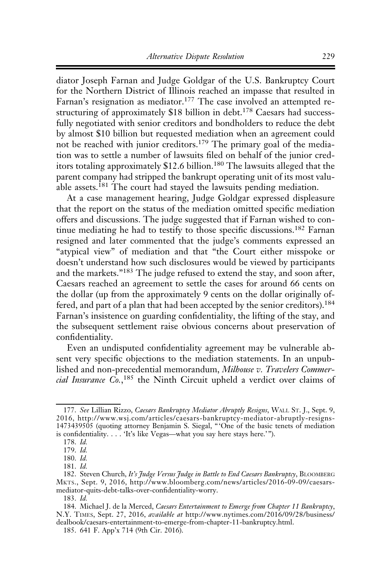diator Joseph Farnan and Judge Goldgar of the U.S. Bankruptcy Court for the Northern District of Illinois reached an impasse that resulted in Farnan's resignation as mediator.<sup>177</sup> The case involved an attempted restructuring of approximately \$18 billion in debt.<sup>178</sup> Caesars had successfully negotiated with senior creditors and bondholders to reduce the debt by almost \$10 billion but requested mediation when an agreement could not be reached with junior creditors.179 The primary goal of the mediation was to settle a number of lawsuits filed on behalf of the junior creditors totaling approximately \$12.6 billion.<sup>180</sup> The lawsuits alleged that the parent company had stripped the bankrupt operating unit of its most valuable assets.<sup>181</sup> The court had stayed the lawsuits pending mediation.

At a case management hearing, Judge Goldgar expressed displeasure that the report on the status of the mediation omitted specific mediation offers and discussions. The judge suggested that if Farnan wished to continue mediating he had to testify to those specific discussions.<sup>182</sup> Farnan resigned and later commented that the judge's comments expressed an "atypical view" of mediation and that "the Court either misspoke or doesn't understand how such disclosures would be viewed by participants and the markets."<sup>183</sup> The judge refused to extend the stay, and soon after, Caesars reached an agreement to settle the cases for around 66 cents on the dollar (up from the approximately 9 cents on the dollar originally offered, and part of a plan that had been accepted by the senior creditors).<sup>184</sup> Farnan's insistence on guarding confidentiality, the lifting of the stay, and the subsequent settlement raise obvious concerns about preservation of confidentiality.

Even an undisputed confidentiality agreement may be vulnerable absent very specific objections to the mediation statements. In an unpublished and non-precedential memorandum, Milhouse v. Travelers Commercial Insurance Co.,<sup>185</sup> the Ninth Circuit upheld a verdict over claims of

<sup>177.</sup> See Lillian Rizzo, Caesars Bankruptcy Mediator Abruptly Resigns, WALL ST. J., Sept. 9, 2016, http://www.wsj.com/articles/caesars-bankruptcy-mediator-abruptly-resigns-1473439505 (quoting attorney Benjamin S. Siegal, "'One of the basic tenets of mediation is confidentiality. . . . 'It's like Vegas—what you say here stays here.'").

<sup>178.</sup> Id.

<sup>179.</sup> Id.

<sup>180.</sup> Id.

<sup>181.</sup> Id.

<sup>182.</sup> Steven Church, It's Judge Versus Judge in Battle to End Caesars Bankruptcy, BLOOMBERG MKTS., Sept. 9, 2016, http://www.bloomberg.com/news/articles/2016-09-09/caesarsmediator-quits-debt-talks-over-confidentiality-worry.

<sup>183.</sup> Id.

<sup>184.</sup> Michael J. de la Merced, Caesars Entertainment to Emerge from Chapter 11 Bankruptcy, N.Y. TIMES, Sept. 27, 2016, available at http://www.nytimes.com/2016/09/28/business/ dealbook/caesars-entertainment-to-emerge-from-chapter-11-bankruptcy.html.

<sup>185. 641</sup> F. App'x 714 (9th Cir. 2016).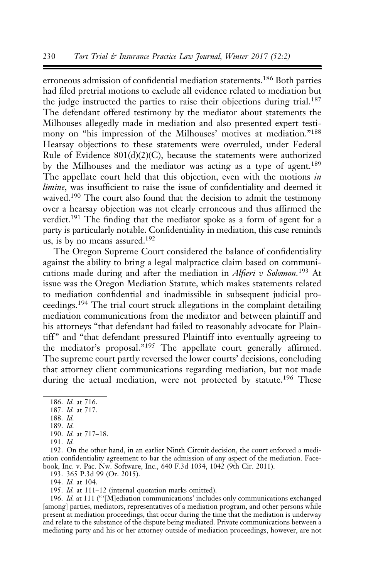erroneous admission of confidential mediation statements.<sup>186</sup> Both parties had filed pretrial motions to exclude all evidence related to mediation but the judge instructed the parties to raise their objections during trial.<sup>187</sup> The defendant offered testimony by the mediator about statements the Milhouses allegedly made in mediation and also presented expert testimony on "his impression of the Milhouses' motives at mediation."188 Hearsay objections to these statements were overruled, under Federal Rule of Evidence 801(d)(2)(C), because the statements were authorized by the Milhouses and the mediator was acting as a type of agent.<sup>189</sup> The appellate court held that this objection, even with the motions in limine, was insufficient to raise the issue of confidentiality and deemed it waived.<sup>190</sup> The court also found that the decision to admit the testimony over a hearsay objection was not clearly erroneous and thus affirmed the verdict.191 The finding that the mediator spoke as a form of agent for a party is particularly notable. Confidentiality in mediation, this case reminds us, is by no means assured.192

The Oregon Supreme Court considered the balance of confidentiality against the ability to bring a legal malpractice claim based on communications made during and after the mediation in Alfieri v Solomon.<sup>193</sup> At issue was the Oregon Mediation Statute, which makes statements related to mediation confidential and inadmissible in subsequent judicial proceedings.<sup>194</sup> The trial court struck allegations in the complaint detailing mediation communications from the mediator and between plaintiff and his attorneys "that defendant had failed to reasonably advocate for Plaintiff" and "that defendant pressured Plaintiff into eventually agreeing to the mediator's proposal."<sup>195</sup> The appellate court generally affirmed. The supreme court partly reversed the lower courts' decisions, concluding that attorney client communications regarding mediation, but not made during the actual mediation, were not protected by statute.<sup>196</sup> These

193. 365 P.3d 99 (Or. 2015).

194. Id. at 104.

195. Id. at 111–12 (internal quotation marks omitted).

196. Id. at 111 ("'[M]ediation communications' includes only communications exchanged [among] parties, mediators, representatives of a mediation program, and other persons while present at mediation proceedings, that occur during the time that the mediation is underway and relate to the substance of the dispute being mediated. Private communications between a mediating party and his or her attorney outside of mediation proceedings, however, are not

<sup>186.</sup> Id. at 716.

<sup>187.</sup> Id. at 717.

<sup>188.</sup> Id.

<sup>189.</sup> Id.

<sup>190.</sup> Id. at 717–18.

<sup>191.</sup> Id.

<sup>192.</sup> On the other hand, in an earlier Ninth Circuit decision, the court enforced a mediation confidentiality agreement to bar the admission of any aspect of the mediation. Facebook, Inc. v. Pac. Nw. Software, Inc., 640 F.3d 1034, 1042 (9th Cir. 2011).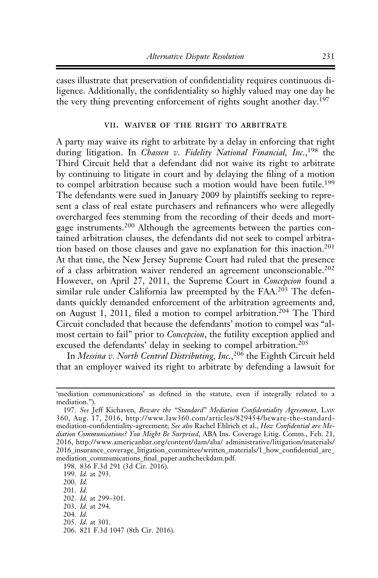cases illustrate that preservation of confidentiality requires continuous diligence. Additionally, the confidentiality so highly valued may one day be the very thing preventing enforcement of rights sought another day.<sup>197</sup>

#### vii. waiver of the right to arbitrate

A party may waive its right to arbitrate by a delay in enforcing that right during litigation. In Chassen v. Fidelity National Financial, Inc.,<sup>198</sup> the Third Circuit held that a defendant did not waive its right to arbitrate by continuing to litigate in court and by delaying the filing of a motion to compel arbitration because such a motion would have been futile.<sup>199</sup> The defendants were sued in January 2009 by plaintiffs seeking to represent a class of real estate purchasers and refinancers who were allegedly overcharged fees stemming from the recording of their deeds and mortgage instruments.<sup>200</sup> Although the agreements between the parties contained arbitration clauses, the defendants did not seek to compel arbitration based on those clauses and gave no explanation for this inaction.<sup>201</sup> At that time, the New Jersey Supreme Court had ruled that the presence of a class arbitration waiver rendered an agreement unconscionable.<sup>202</sup> However, on April 27, 2011, the Supreme Court in Concepcion found a similar rule under California law preempted by the FAA.<sup>203</sup> The defendants quickly demanded enforcement of the arbitration agreements and, on August 1, 2011, filed a motion to compel arbitration.204 The Third Circuit concluded that because the defendants' motion to compel was "almost certain to fail" prior to Concepcion, the futility exception applied and excused the defendants' delay in seeking to compel arbitration.<sup>205</sup>

In Messina v. North Central Distributing, Inc.,<sup>206</sup> the Eighth Circuit held that an employer waived its right to arbitrate by defending a lawsuit for

198. 836 F.3d 291 (3d Cir. 2016).

199. Id. at 293.

205. Id. at 301.

<sup>&#</sup>x27;mediation communications' as defined in the statute, even if integrally related to a mediation.").

<sup>197.</sup> See Jeff Kichaven, Beware the "Standard" Mediation Confidentiality Agreement, LAW 360, Aug. 17, 2016, http://www.law360.com/articles/829454/beware-the-standardmediation-confidentiality-agreement; See also Rachel Ehlrich et al., How Confidential are Mediation Communications? You Might Be Surprised, ABA Ins. Coverage Litig. Comm., Feb. 21, 2016, http://www.americanbar.org/content/dam/aba/ administrative/litigation/materials/ 2016\_insurance\_coverage\_litigation\_committee/written\_materials/1\_how\_confidential\_are\_ mediation communications final paper.authcheckdam.pdf.

<sup>200.</sup> Id.

<sup>201.</sup> Id.

<sup>202.</sup> Id. at 299–301.

<sup>203.</sup> Id. at 294.

<sup>204.</sup> Id.

<sup>206. 821</sup> F.3d 1047 (8th Cir. 2016).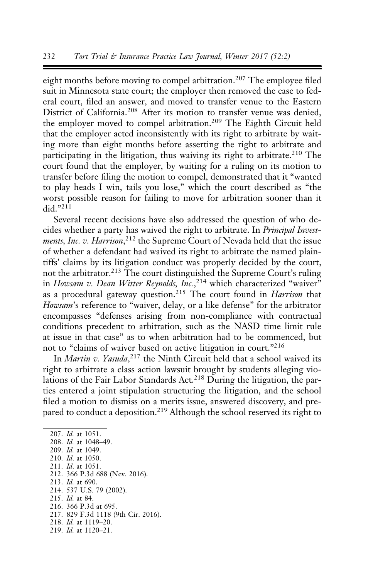eight months before moving to compel arbitration.<sup>207</sup> The employee filed suit in Minnesota state court; the employer then removed the case to federal court, filed an answer, and moved to transfer venue to the Eastern District of California.<sup>208</sup> After its motion to transfer venue was denied, the employer moved to compel arbitration.<sup>209</sup> The Eighth Circuit held that the employer acted inconsistently with its right to arbitrate by waiting more than eight months before asserting the right to arbitrate and participating in the litigation, thus waiving its right to arbitrate.<sup>210</sup> The court found that the employer, by waiting for a ruling on its motion to transfer before filing the motion to compel, demonstrated that it "wanted to play heads I win, tails you lose," which the court described as "the worst possible reason for failing to move for arbitration sooner than it did  $"^{211}$ 

Several recent decisions have also addressed the question of who decides whether a party has waived the right to arbitrate. In Principal Investments, Inc. v. Harrison,<sup>212</sup> the Supreme Court of Nevada held that the issue of whether a defendant had waived its right to arbitrate the named plaintiffs' claims by its litigation conduct was properly decided by the court, not the arbitrator.<sup>213</sup> The court distinguished the Supreme Court's ruling in Howsam v. Dean Witter Reynolds, Inc.,<sup>214</sup> which characterized "waiver" as a procedural gateway question.<sup>215</sup> The court found in *Harrison* that Howsam's reference to "waiver, delay, or a like defense" for the arbitrator encompasses "defenses arising from non-compliance with contractual conditions precedent to arbitration, such as the NASD time limit rule at issue in that case" as to when arbitration had to be commenced, but not to "claims of waiver based on active litigation in court."<sup>216</sup>

In Martin v. Yasuda,<sup>217</sup> the Ninth Circuit held that a school waived its right to arbitrate a class action lawsuit brought by students alleging violations of the Fair Labor Standards Act.<sup>218</sup> During the litigation, the parties entered a joint stipulation structuring the litigation, and the school filed a motion to dismiss on a merits issue, answered discovery, and prepared to conduct a deposition.<sup>219</sup> Although the school reserved its right to

207. Id. at 1051. 208. Id. at 1048–49. 209. Id. at 1049. 210. Id. at 1050. 211. Id. at 1051. 212. 366 P.3d 688 (Nev. 2016). 213. Id. at 690. 214. 537 U.S. 79 (2002). 215. Id. at 84. 216. 366 P.3d at 695. 217. 829 F.3d 1118 (9th Cir. 2016). 218. Id. at 1119–20.

219. Id. at 1120–21.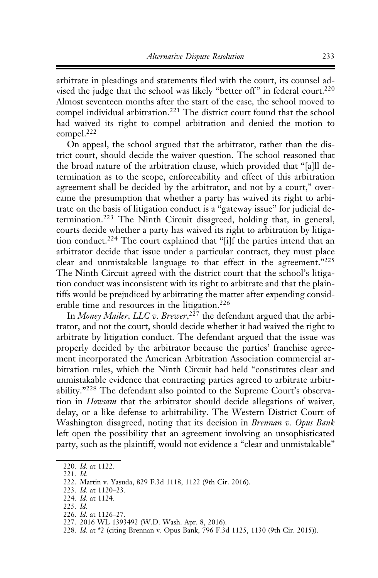arbitrate in pleadings and statements filed with the court, its counsel advised the judge that the school was likely "better off" in federal court.<sup>220</sup> Almost seventeen months after the start of the case, the school moved to compel individual arbitration.<sup>221</sup> The district court found that the school had waived its right to compel arbitration and denied the motion to compel.222

On appeal, the school argued that the arbitrator, rather than the district court, should decide the waiver question. The school reasoned that the broad nature of the arbitration clause, which provided that "[a]ll determination as to the scope, enforceability and effect of this arbitration agreement shall be decided by the arbitrator, and not by a court," overcame the presumption that whether a party has waived its right to arbitrate on the basis of litigation conduct is a "gateway issue" for judicial determination.223 The Ninth Circuit disagreed, holding that, in general, courts decide whether a party has waived its right to arbitration by litigation conduct.<sup>224</sup> The court explained that "[i]f the parties intend that an arbitrator decide that issue under a particular contract, they must place clear and unmistakable language to that effect in the agreement."225 The Ninth Circuit agreed with the district court that the school's litigation conduct was inconsistent with its right to arbitrate and that the plaintiffs would be prejudiced by arbitrating the matter after expending considerable time and resources in the litigation.<sup>226</sup>

In Money Mailer, LLC v. Brewer,<sup>227</sup> the defendant argued that the arbitrator, and not the court, should decide whether it had waived the right to arbitrate by litigation conduct. The defendant argued that the issue was properly decided by the arbitrator because the parties' franchise agreement incorporated the American Arbitration Association commercial arbitration rules, which the Ninth Circuit had held "constitutes clear and unmistakable evidence that contracting parties agreed to arbitrate arbitrability."<sup>228</sup> The defendant also pointed to the Supreme Court's observation in Howsam that the arbitrator should decide allegations of waiver, delay, or a like defense to arbitrability. The Western District Court of Washington disagreed, noting that its decision in *Brennan v. Opus Bank* left open the possibility that an agreement involving an unsophisticated party, such as the plaintiff, would not evidence a "clear and unmistakable"

221. Id.

- 223. Id. at 1120–23.
- 224. Id. at 1124.
- 225. Id.
- 226. Id. at 1126–27.
- 227. 2016 WL 1393492 (W.D. Wash. Apr. 8, 2016).
- 228. Id. at \*2 (citing Brennan v. Opus Bank, 796 F.3d 1125, 1130 (9th Cir. 2015)).

<sup>220.</sup> Id. at 1122.

<sup>222.</sup> Martin v. Yasuda, 829 F.3d 1118, 1122 (9th Cir. 2016).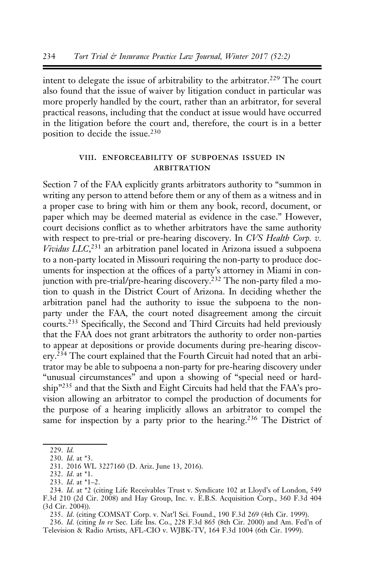intent to delegate the issue of arbitrability to the arbitrator.<sup>229</sup> The court also found that the issue of waiver by litigation conduct in particular was more properly handled by the court, rather than an arbitrator, for several practical reasons, including that the conduct at issue would have occurred in the litigation before the court and, therefore, the court is in a better position to decide the issue.<sup>230</sup>

## viii. enforceability of subpoenas issued in **ARBITRATION**

Section 7 of the FAA explicitly grants arbitrators authority to "summon in writing any person to attend before them or any of them as a witness and in a proper case to bring with him or them any book, record, document, or paper which may be deemed material as evidence in the case." However, court decisions conflict as to whether arbitrators have the same authority with respect to pre-trial or pre-hearing discovery. In CVS Health Corp. v. Vividus LLC,<sup>231</sup> an arbitration panel located in Arizona issued a subpoena to a non-party located in Missouri requiring the non-party to produce documents for inspection at the offices of a party's attorney in Miami in conjunction with pre-trial/pre-hearing discovery.<sup>232</sup> The non-party filed a motion to quash in the District Court of Arizona. In deciding whether the arbitration panel had the authority to issue the subpoena to the nonparty under the FAA, the court noted disagreement among the circuit courts.233 Specifically, the Second and Third Circuits had held previously that the FAA does not grant arbitrators the authority to order non-parties to appear at depositions or provide documents during pre-hearing discovery.<sup>234</sup> The court explained that the Fourth Circuit had noted that an arbitrator may be able to subpoena a non-party for pre-hearing discovery under "unusual circumstances" and upon a showing of "special need or hardship"235 and that the Sixth and Eight Circuits had held that the FAA's provision allowing an arbitrator to compel the production of documents for the purpose of a hearing implicitly allows an arbitrator to compel the same for inspection by a party prior to the hearing.<sup>236</sup> The District of

235. Id. (citing COMSAT Corp. v. Nat'l Sci. Found., 190 F.3d 269 (4th Cir. 1999).

236. Id. (citing In re Sec. Life Ins. Co., 228 F.3d 865 (8th Cir. 2000) and Am. Fed'n of Television & Radio Artists, AFL-CIO v. WJBK-TV, 164 F.3d 1004 (6th Cir. 1999).

<sup>229.</sup> Id.

<sup>230.</sup> Id. at \*3.

<sup>231. 2016</sup> WL 3227160 (D. Ariz. June 13, 2016).

<sup>232.</sup> Id. at \*1.

<sup>233.</sup> Id. at \*1–2.

<sup>234.</sup> Id. at \*2 (citing Life Receivables Trust v. Syndicate 102 at Lloyd's of London, 549 F.3d 210 (2d Cir. 2008) and Hay Group, Inc. v. E.B.S. Acquisition Corp., 360 F.3d 404 (3d Cir. 2004)).